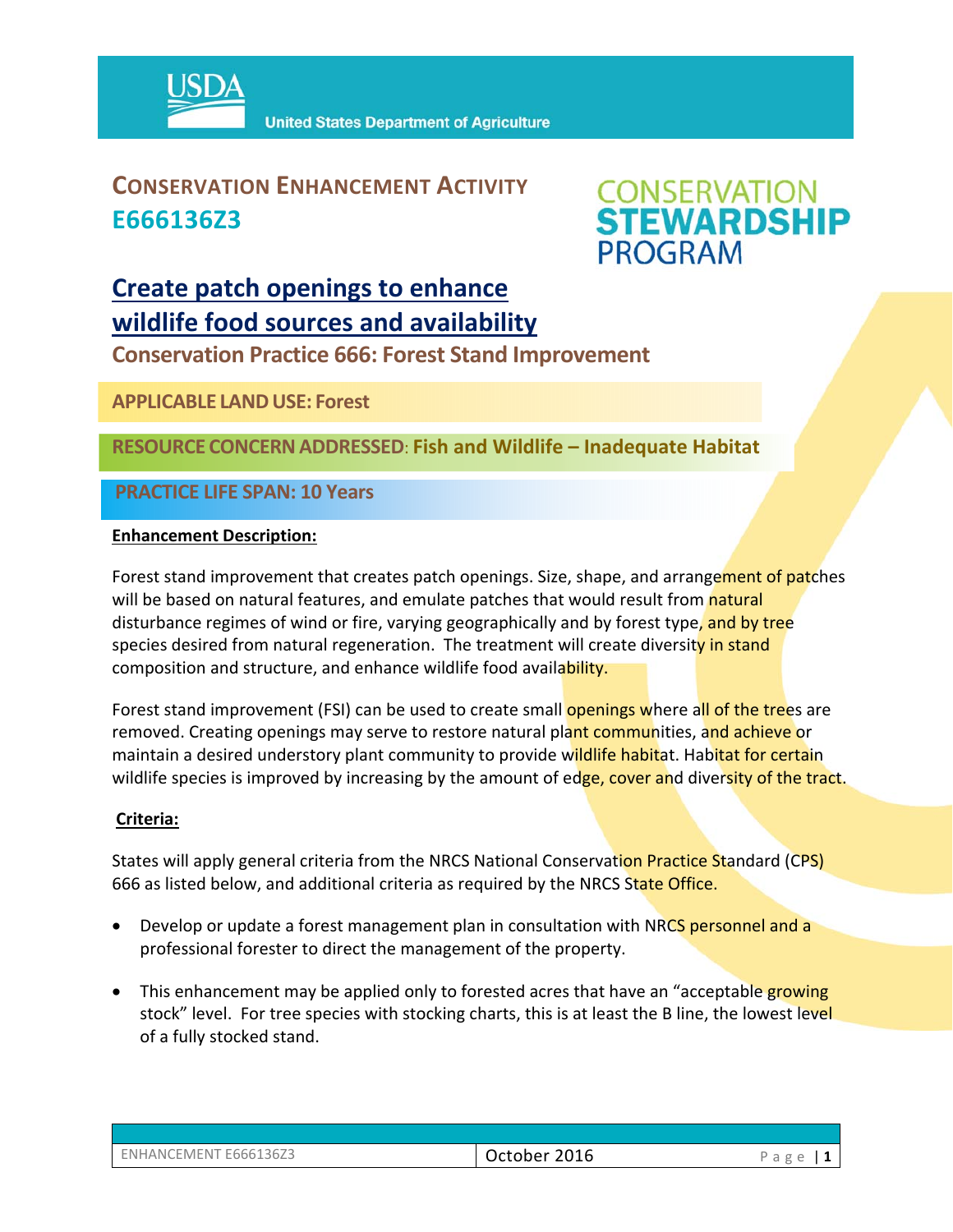

## **CONSERVATION ENHANCEMENT ACTIVITY E666136Z3**



## **Create patch openings to enhance wildlife food sources and availability**

**Conservation Practice 666: Forest Stand Improvement** 

**APPLICABLE LANDUSE: Forest** 

**RESOURCE CONCERNADDRESSED**: **Fish and Wildlife – Inadequate Habitat**

**PRACTICE LIFE SPAN: 10 Years**

#### **Enhancement Description:**

Forest stand improvement that creates patch openings. Size, shape, and arrangement of patches will be based on natural features, and emulate patches that would result from natural disturbance regimes of wind or fire, varying geographically and by forest type, and by tree species desired from natural regeneration. The treatment will create diversity in stand composition and structure, and enhance wildlife food availability.

Forest stand improvement (FSI) can be used to create small **openings where all of the trees** are removed. Creating openings may serve to restore natural plant communities, and achieve or maintain a desired understory plant community to provide wildlife habitat. Habitat for certain wildlife species is improved by increasing by the amount of edge, cover and diversity of the tract.

### **Criteria:**

States will apply general criteria from the NRCS National Conservation Practice Standard (CPS) 666 as listed below, and additional criteria as required by the NRCS State Office.

- Develop or update a forest management plan in consultation with NRCS personnel and a professional forester to direct the management of the property.
- This enhancement may be applied only to forested acres that have an "acceptable growing stock" level. For tree species with stocking charts, this is at least the B line, the lowest level of a fully stocked stand.

| ENHANCEMENT E666136Z3 |  |
|-----------------------|--|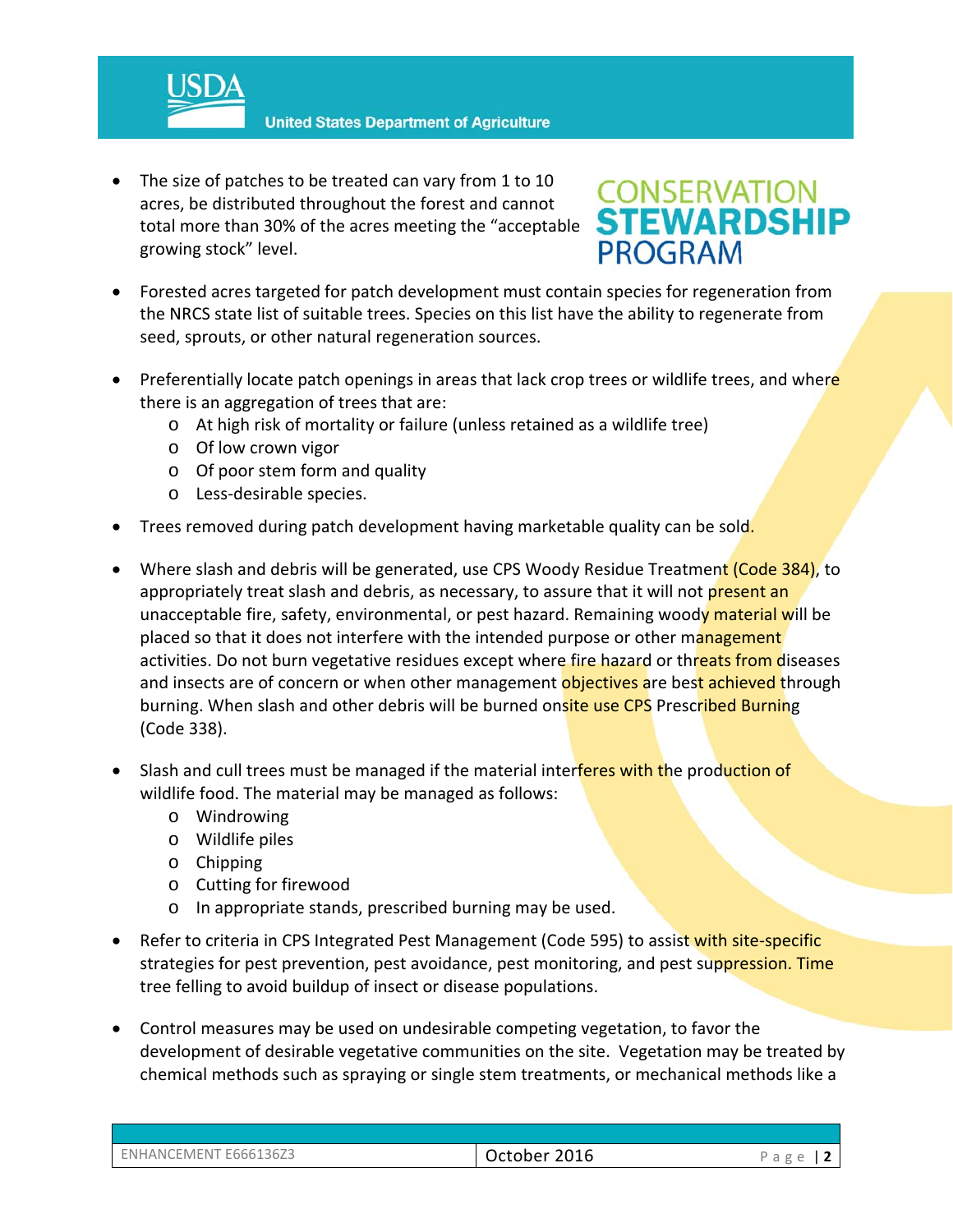**United States Department of Agriculture** 

• The size of patches to be treated can vary from 1 to 10 acres, be distributed throughout the forest and cannot total more than 30% of the acres meeting the "acceptable growing stock" level.

## **CONSERVATION<br>STEWARDSHIP PROGRAM**

- Forested acres targeted for patch development must contain species for regeneration from the NRCS state list of suitable trees. Species on this list have the ability to regenerate from seed, sprouts, or other natural regeneration sources.
- Preferentially locate patch openings in areas that lack crop trees or wildlife trees, and where there is an aggregation of trees that are:
	- o At high risk of mortality or failure (unless retained as a wildlife tree)
	- o Of low crown vigor
	- o Of poor stem form and quality
	- o Less‐desirable species.
- Trees removed during patch development having marketable quality can be sold.
- Where slash and debris will be generated, use CPS Woody Residue Treatment (Code 384), to appropriately treat slash and debris, as necessary, to assure that it will not present an unacceptable fire, safety, environmental, or pest hazard. Remaining woody material will be placed so that it does not interfere with the intended purpose or other management activities. Do not burn vegetative residues except where fire hazard or threats from diseases and insects are of concern or when other management objectives are best achieved through burning. When slash and other debris will be burned onsite use CPS Prescribed Burning (Code 338).
- Slash and cull trees must be managed if the material interferes with the production of wildlife food. The material may be managed as follows:
	- o Windrowing
	- o Wildlife piles
	- o Chipping
	- o Cutting for firewood
	- o In appropriate stands, prescribed burning may be used.
- Refer to criteria in CPS Integrated Pest Management (Code 595) to assist with site-specific strategies for pest prevention, pest avoidance, pest monitoring, and pest suppression. Time tree felling to avoid buildup of insect or disease populations.
- Control measures may be used on undesirable competing vegetation, to favor the development of desirable vegetative communities on the site. Vegetation may be treated by chemical methods such as spraying or single stem treatments, or mechanical methods like a

| ENHANCEMENT E666136Z3 | 2016<br>October | $\sigma$<br>d |
|-----------------------|-----------------|---------------|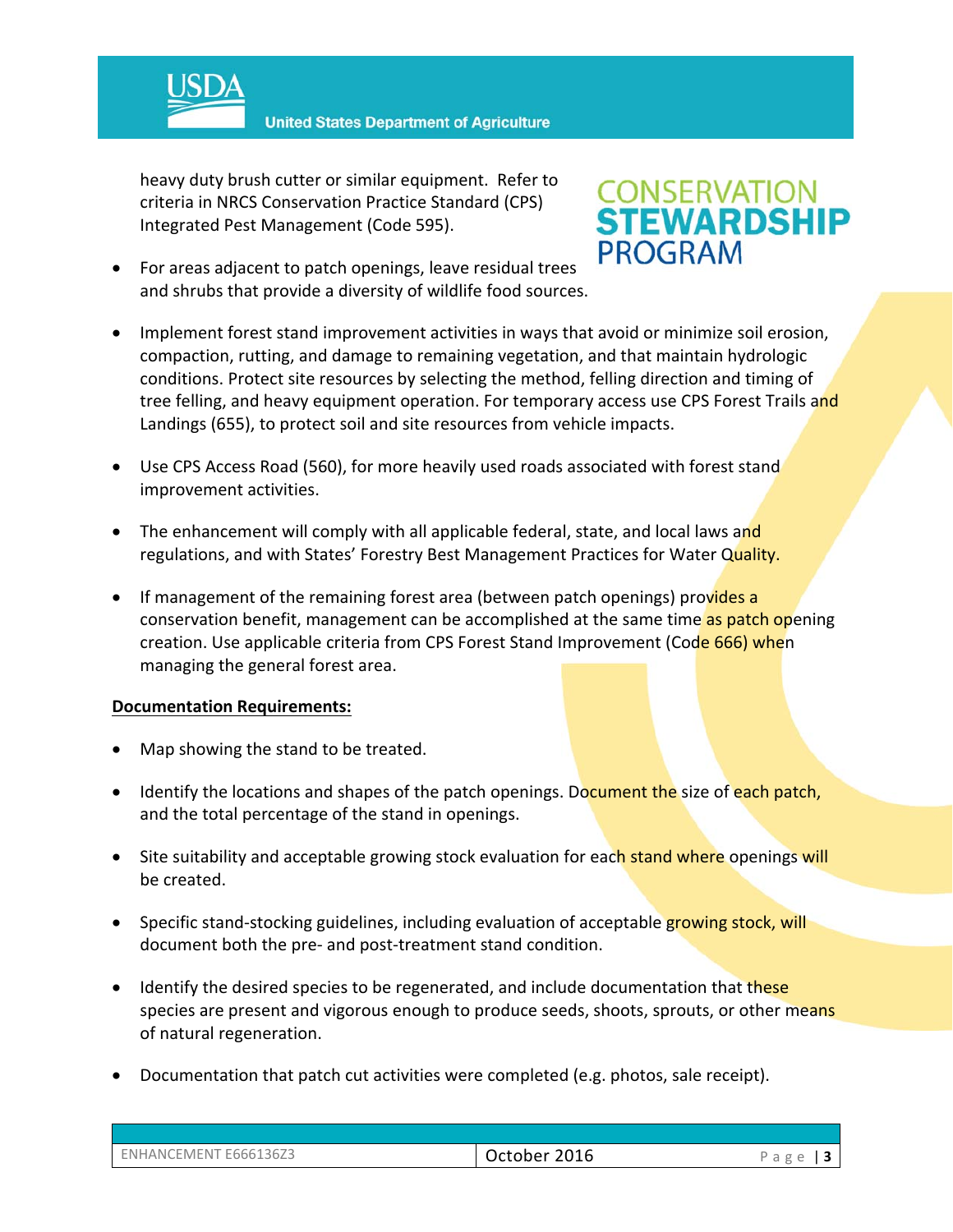

**United States Department of Agriculture** 

heavy duty brush cutter or similar equipment. Refer to criteria in NRCS Conservation Practice Standard (CPS) Integrated Pest Management (Code 595).

# **CONSERVATION<br>STEWARDSHIP PROGRAM**

- For areas adjacent to patch openings, leave residual trees and shrubs that provide a diversity of wildlife food sources.
- Implement forest stand improvement activities in ways that avoid or minimize soil erosion, compaction, rutting, and damage to remaining vegetation, and that maintain hydrologic conditions. Protect site resources by selecting the method, felling direction and timing of tree felling, and heavy equipment operation. For temporary access use CPS Forest Trails and Landings (655), to protect soil and site resources from vehicle impacts.
- Use CPS Access Road (560), for more heavily used roads associated with forest stand improvement activities.
- The enhancement will comply with all applicable federal, state, and local laws and regulations, and with States' Forestry Best Management Practices for Water Quality.
- If management of the remaining forest area (between patch openings) provides a conservation benefit, management can be accomplished at the same time as patch opening creation. Use applicable criteria from CPS Forest Stand Improvement (Code 666) when managing the general forest area.

#### **Documentation Requirements:**

- Map showing the stand to be treated.
- **IDENT** Identify the locations and shapes of the patch openings. Document the size of each patch, and the total percentage of the stand in openings.
- Site suitability and acceptable growing stock evaluation for each stand where openings will be created.
- Specific stand-stocking guidelines, including evaluation of acceptable growing stock, will document both the pre‐ and post‐treatment stand condition.
- Identify the desired species to be regenerated, and include documentation that these species are present and vigorous enough to produce seeds, shoots, sprouts, or other means of natural regeneration.
- Documentation that patch cut activities were completed (e.g. photos, sale receipt).

| ENHANCEMENT E666136Z3 | .2016<br>October | ັ<br>◡ |
|-----------------------|------------------|--------|